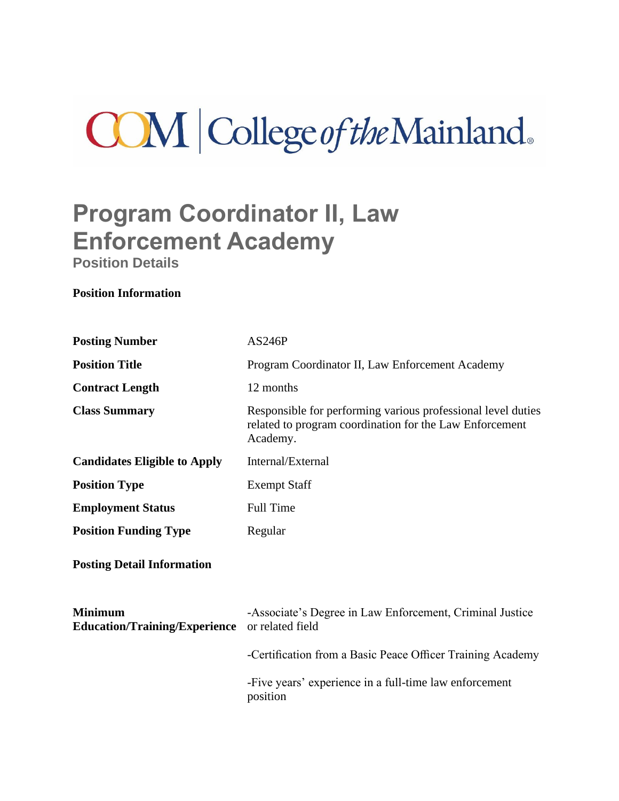# **COM** College of the Mainland.

## **Program Coordinator II, Law Enforcement Academy**

**Position Details**

## **Position Information**

| <b>Posting Number</b>                                  | AS246P                                                                                                                              |
|--------------------------------------------------------|-------------------------------------------------------------------------------------------------------------------------------------|
| <b>Position Title</b>                                  | Program Coordinator II, Law Enforcement Academy                                                                                     |
| <b>Contract Length</b>                                 | 12 months                                                                                                                           |
| <b>Class Summary</b>                                   | Responsible for performing various professional level duties<br>related to program coordination for the Law Enforcement<br>Academy. |
| <b>Candidates Eligible to Apply</b>                    | Internal/External                                                                                                                   |
| <b>Position Type</b>                                   | <b>Exempt Staff</b>                                                                                                                 |
| <b>Employment Status</b>                               | Full Time                                                                                                                           |
| <b>Position Funding Type</b>                           | Regular                                                                                                                             |
| <b>Posting Detail Information</b>                      |                                                                                                                                     |
| <b>Minimum</b><br><b>Education/Training/Experience</b> | -Associate's Degree in Law Enforcement, Criminal Justice<br>or related field                                                        |
|                                                        | -Certification from a Basic Peace Officer Training Academy                                                                          |
|                                                        | -Five years' experience in a full-time law enforcement<br>position                                                                  |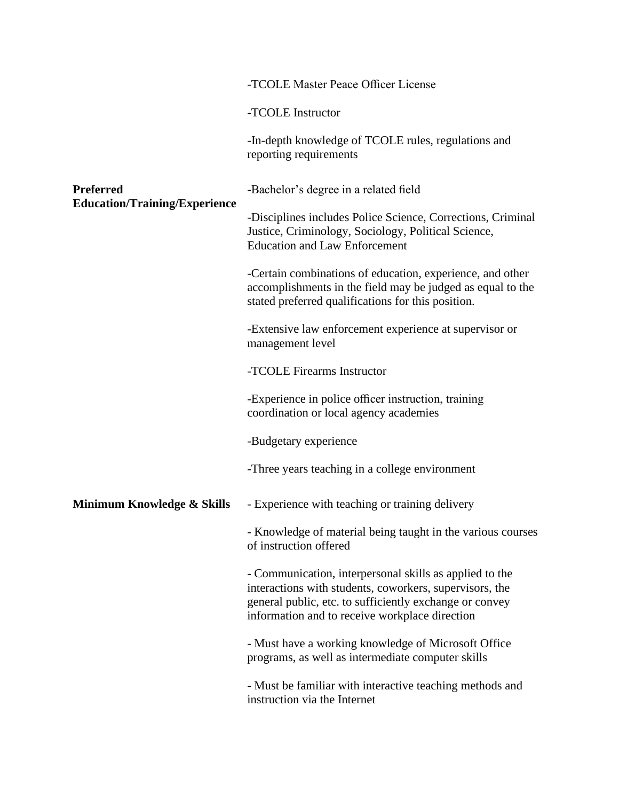|                                                                                        | -TCOLE Master Peace Officer License                                                                                                                                                                                             |
|----------------------------------------------------------------------------------------|---------------------------------------------------------------------------------------------------------------------------------------------------------------------------------------------------------------------------------|
|                                                                                        | -TCOLE Instructor                                                                                                                                                                                                               |
| <b>Preferred</b><br><b>Education/Training/Experience</b><br>Minimum Knowledge & Skills | -In-depth knowledge of TCOLE rules, regulations and<br>reporting requirements                                                                                                                                                   |
|                                                                                        | -Bachelor's degree in a related field                                                                                                                                                                                           |
|                                                                                        | -Disciplines includes Police Science, Corrections, Criminal<br>Justice, Criminology, Sociology, Political Science,<br><b>Education and Law Enforcement</b>                                                                      |
|                                                                                        | -Certain combinations of education, experience, and other<br>accomplishments in the field may be judged as equal to the<br>stated preferred qualifications for this position.                                                   |
|                                                                                        | -Extensive law enforcement experience at supervisor or<br>management level                                                                                                                                                      |
|                                                                                        | -TCOLE Firearms Instructor                                                                                                                                                                                                      |
|                                                                                        | -Experience in police officer instruction, training<br>coordination or local agency academies                                                                                                                                   |
|                                                                                        | -Budgetary experience                                                                                                                                                                                                           |
|                                                                                        | -Three years teaching in a college environment                                                                                                                                                                                  |
|                                                                                        | - Experience with teaching or training delivery                                                                                                                                                                                 |
|                                                                                        | - Knowledge of material being taught in the various courses<br>of instruction offered                                                                                                                                           |
|                                                                                        | - Communication, interpersonal skills as applied to the<br>interactions with students, coworkers, supervisors, the<br>general public, etc. to sufficiently exchange or convey<br>information and to receive workplace direction |
|                                                                                        | - Must have a working knowledge of Microsoft Office<br>programs, as well as intermediate computer skills                                                                                                                        |
|                                                                                        | - Must be familiar with interactive teaching methods and<br>instruction via the Internet                                                                                                                                        |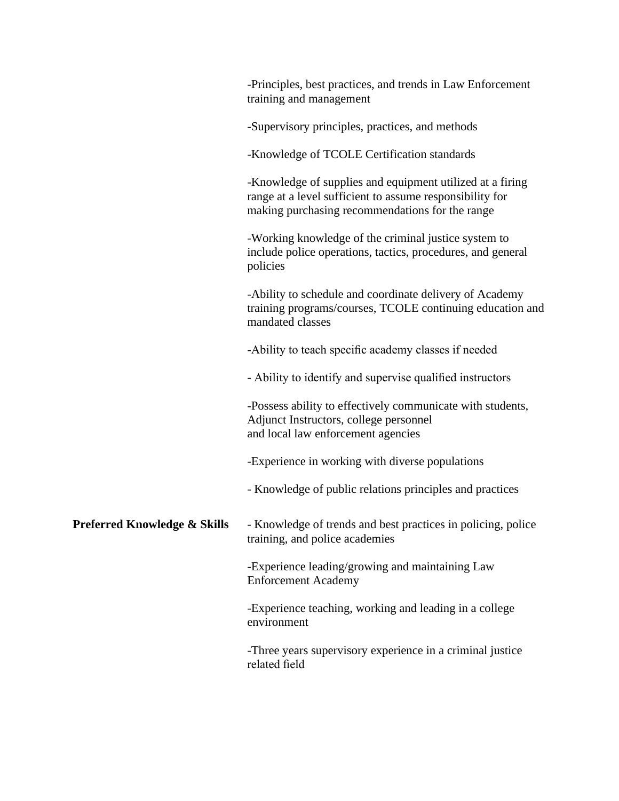|                              | -Principles, best practices, and trends in Law Enforcement<br>training and management                                                                                    |
|------------------------------|--------------------------------------------------------------------------------------------------------------------------------------------------------------------------|
|                              | -Supervisory principles, practices, and methods                                                                                                                          |
|                              | -Knowledge of TCOLE Certification standards                                                                                                                              |
|                              | -Knowledge of supplies and equipment utilized at a firing<br>range at a level sufficient to assume responsibility for<br>making purchasing recommendations for the range |
|                              | -Working knowledge of the criminal justice system to<br>include police operations, tactics, procedures, and general<br>policies                                          |
|                              | -Ability to schedule and coordinate delivery of Academy<br>training programs/courses, TCOLE continuing education and<br>mandated classes                                 |
|                              | -Ability to teach specific academy classes if needed                                                                                                                     |
|                              | - Ability to identify and supervise qualified instructors                                                                                                                |
|                              | -Possess ability to effectively communicate with students,<br>Adjunct Instructors, college personnel<br>and local law enforcement agencies                               |
|                              | -Experience in working with diverse populations                                                                                                                          |
|                              | - Knowledge of public relations principles and practices                                                                                                                 |
| Preferred Knowledge & Skills | - Knowledge of trends and best practices in policing, police<br>training, and police academies                                                                           |
|                              | -Experience leading/growing and maintaining Law<br><b>Enforcement Academy</b>                                                                                            |
|                              | -Experience teaching, working and leading in a college<br>environment                                                                                                    |
|                              | -Three years supervisory experience in a criminal justice<br>related field                                                                                               |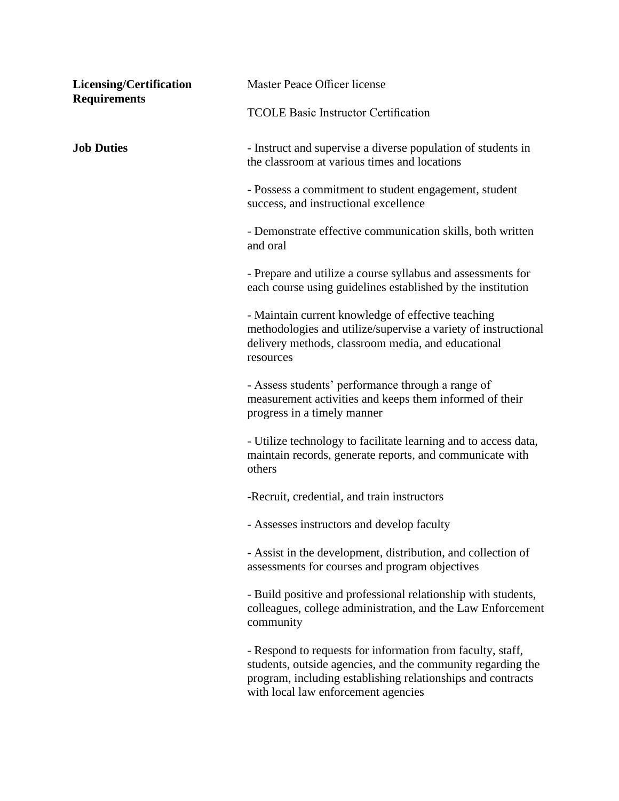| Licensing/Certification<br><b>Requirements</b> | Master Peace Officer license                                                                                                                                                                                                    |
|------------------------------------------------|---------------------------------------------------------------------------------------------------------------------------------------------------------------------------------------------------------------------------------|
|                                                | <b>TCOLE Basic Instructor Certification</b>                                                                                                                                                                                     |
| <b>Job Duties</b>                              | - Instruct and supervise a diverse population of students in<br>the classroom at various times and locations                                                                                                                    |
|                                                | - Possess a commitment to student engagement, student<br>success, and instructional excellence                                                                                                                                  |
|                                                | - Demonstrate effective communication skills, both written<br>and oral                                                                                                                                                          |
|                                                | - Prepare and utilize a course syllabus and assessments for<br>each course using guidelines established by the institution                                                                                                      |
|                                                | - Maintain current knowledge of effective teaching<br>methodologies and utilize/supervise a variety of instructional<br>delivery methods, classroom media, and educational<br>resources                                         |
|                                                | - Assess students' performance through a range of<br>measurement activities and keeps them informed of their<br>progress in a timely manner                                                                                     |
|                                                | - Utilize technology to facilitate learning and to access data,<br>maintain records, generate reports, and communicate with<br>others                                                                                           |
|                                                | -Recruit, credential, and train instructors                                                                                                                                                                                     |
|                                                | - Assesses instructors and develop faculty                                                                                                                                                                                      |
|                                                | - Assist in the development, distribution, and collection of<br>assessments for courses and program objectives                                                                                                                  |
|                                                | - Build positive and professional relationship with students,<br>colleagues, college administration, and the Law Enforcement<br>community                                                                                       |
|                                                | - Respond to requests for information from faculty, staff,<br>students, outside agencies, and the community regarding the<br>program, including establishing relationships and contracts<br>with local law enforcement agencies |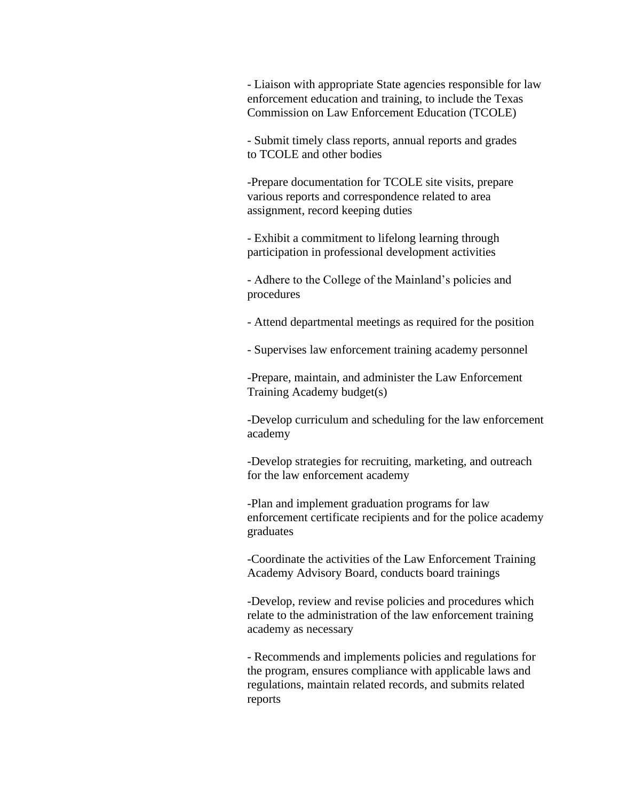- Liaison with appropriate State agencies responsible for law enforcement education and training, to include the Texas Commission on Law Enforcement Education (TCOLE)

- Submit timely class reports, annual reports and grades to TCOLE and other bodies

-Prepare documentation for TCOLE site visits, prepare various reports and correspondence related to area assignment, record keeping duties

- Exhibit a commitment to lifelong learning through participation in professional development activities

- Adhere to the College of the Mainland's policies and procedures

- Attend departmental meetings as required for the position
- Supervises law enforcement training academy personnel

-Prepare, maintain, and administer the Law Enforcement Training Academy budget(s)

-Develop curriculum and scheduling for the law enforcement academy

-Develop strategies for recruiting, marketing, and outreach for the law enforcement academy

-Plan and implement graduation programs for law enforcement certificate recipients and for the police academy graduates

-Coordinate the activities of the Law Enforcement Training Academy Advisory Board, conducts board trainings

-Develop, review and revise policies and procedures which relate to the administration of the law enforcement training academy as necessary

- Recommends and implements policies and regulations for the program, ensures compliance with applicable laws and regulations, maintain related records, and submits related reports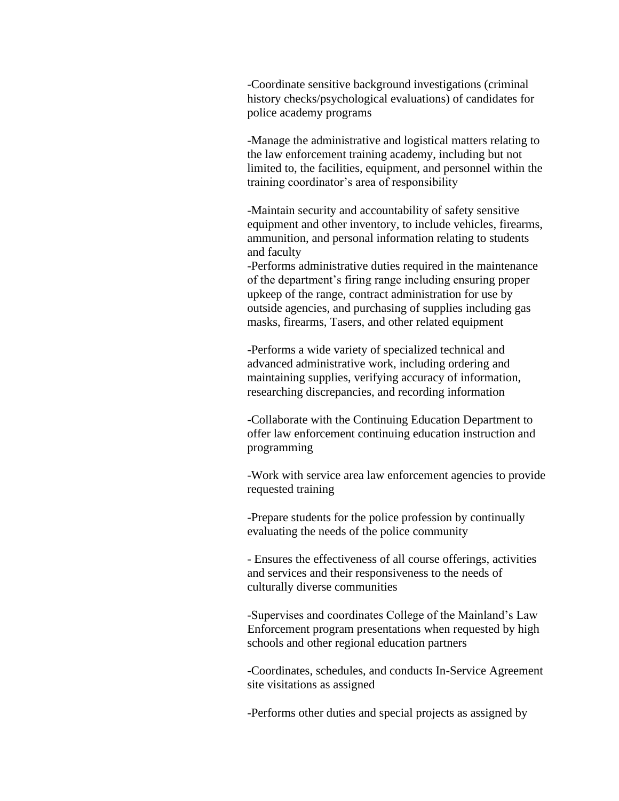-Coordinate sensitive background investigations (criminal history checks/psychological evaluations) of candidates for police academy programs

-Manage the administrative and logistical matters relating to the law enforcement training academy, including but not limited to, the facilities, equipment, and personnel within the training coordinator's area of responsibility

-Maintain security and accountability of safety sensitive equipment and other inventory, to include vehicles, firearms, ammunition, and personal information relating to students and faculty

-Performs administrative duties required in the maintenance of the department's firing range including ensuring proper upkeep of the range, contract administration for use by outside agencies, and purchasing of supplies including gas masks, firearms, Tasers, and other related equipment

-Performs a wide variety of specialized technical and advanced administrative work, including ordering and maintaining supplies, verifying accuracy of information, researching discrepancies, and recording information

-Collaborate with the Continuing Education Department to offer law enforcement continuing education instruction and programming

-Work with service area law enforcement agencies to provide requested training

-Prepare students for the police profession by continually evaluating the needs of the police community

- Ensures the effectiveness of all course offerings, activities and services and their responsiveness to the needs of culturally diverse communities

-Supervises and coordinates College of the Mainland's Law Enforcement program presentations when requested by high schools and other regional education partners

-Coordinates, schedules, and conducts In-Service Agreement site visitations as assigned

-Performs other duties and special projects as assigned by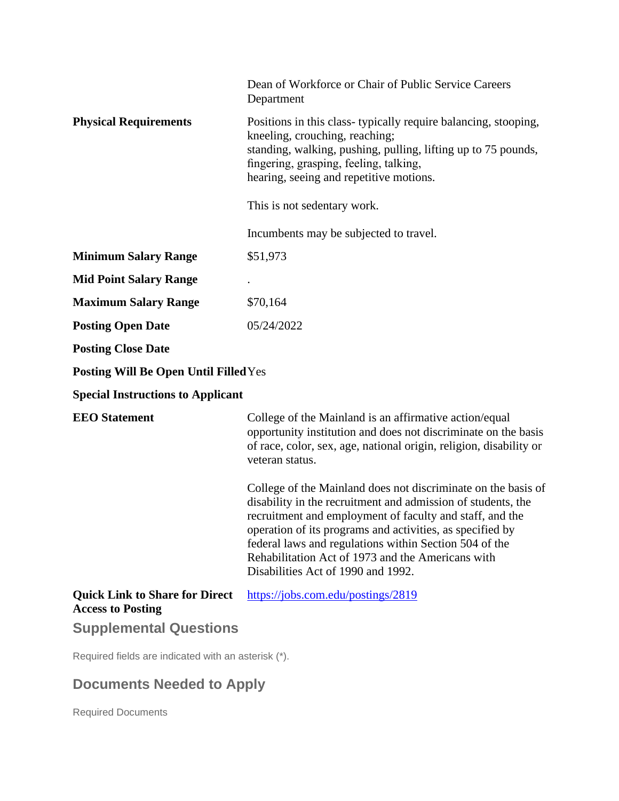|                                                                   | Dean of Workforce or Chair of Public Service Careers<br>Department                                                                                                                                                                                                                                                                                                                                          |
|-------------------------------------------------------------------|-------------------------------------------------------------------------------------------------------------------------------------------------------------------------------------------------------------------------------------------------------------------------------------------------------------------------------------------------------------------------------------------------------------|
| <b>Physical Requirements</b>                                      | Positions in this class-typically require balancing, stooping,<br>kneeling, crouching, reaching;<br>standing, walking, pushing, pulling, lifting up to 75 pounds,<br>fingering, grasping, feeling, talking,<br>hearing, seeing and repetitive motions.                                                                                                                                                      |
|                                                                   | This is not sedentary work.                                                                                                                                                                                                                                                                                                                                                                                 |
|                                                                   | Incumbents may be subjected to travel.                                                                                                                                                                                                                                                                                                                                                                      |
| <b>Minimum Salary Range</b>                                       | \$51,973                                                                                                                                                                                                                                                                                                                                                                                                    |
| <b>Mid Point Salary Range</b>                                     |                                                                                                                                                                                                                                                                                                                                                                                                             |
| <b>Maximum Salary Range</b>                                       | \$70,164                                                                                                                                                                                                                                                                                                                                                                                                    |
| <b>Posting Open Date</b>                                          | 05/24/2022                                                                                                                                                                                                                                                                                                                                                                                                  |
| <b>Posting Close Date</b>                                         |                                                                                                                                                                                                                                                                                                                                                                                                             |
| <b>Posting Will Be Open Until Filled Yes</b>                      |                                                                                                                                                                                                                                                                                                                                                                                                             |
| <b>Special Instructions to Applicant</b>                          |                                                                                                                                                                                                                                                                                                                                                                                                             |
| <b>EEO</b> Statement                                              | College of the Mainland is an affirmative action/equal<br>opportunity institution and does not discriminate on the basis<br>of race, color, sex, age, national origin, religion, disability or<br>veteran status.                                                                                                                                                                                           |
|                                                                   | College of the Mainland does not discriminate on the basis of<br>disability in the recruitment and admission of students, the<br>recruitment and employment of faculty and staff, and the<br>operation of its programs and activities, as specified by<br>federal laws and regulations within Section 504 of the<br>Rehabilitation Act of 1973 and the Americans with<br>Disabilities Act of 1990 and 1992. |
| <b>Quick Link to Share for Direct</b><br><b>Access to Posting</b> | https://jobs.com.edu/postings/2819                                                                                                                                                                                                                                                                                                                                                                          |
| <b>Supplemental Questions</b>                                     |                                                                                                                                                                                                                                                                                                                                                                                                             |

Required fields are indicated with an asterisk (\*).

## **Documents Needed to Apply**

Required Documents